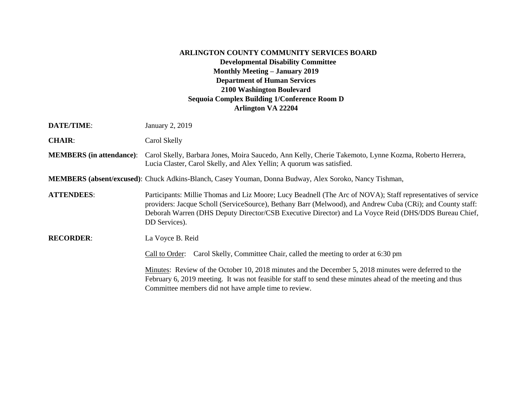## **ARLINGTON COUNTY COMMUNITY SERVICES BOARD Developmental Disability Committee Monthly Meeting – January 2019 Department of Human Services 2100 Washington Boulevard Sequoia Complex Building 1/Conference Room D Arlington VA 22204**

| <b>DATE/TIME:</b>               | January 2, 2019                                                                                                                                                                                                                                                                                                                                     |
|---------------------------------|-----------------------------------------------------------------------------------------------------------------------------------------------------------------------------------------------------------------------------------------------------------------------------------------------------------------------------------------------------|
| <b>CHAIR:</b>                   | Carol Skelly                                                                                                                                                                                                                                                                                                                                        |
| <b>MEMBERS</b> (in attendance): | Carol Skelly, Barbara Jones, Moira Saucedo, Ann Kelly, Cherie Takemoto, Lynne Kozma, Roberto Herrera,<br>Lucia Claster, Carol Skelly, and Alex Yellin; A quorum was satisfied.                                                                                                                                                                      |
|                                 | <b>MEMBERS</b> (absent/excused): Chuck Adkins-Blanch, Casey Youman, Donna Budway, Alex Soroko, Nancy Tishman,                                                                                                                                                                                                                                       |
| <b>ATTENDEES:</b>               | Participants: Millie Thomas and Liz Moore; Lucy Beadnell (The Arc of NOVA); Staff representatives of service<br>providers: Jacque Scholl (ServiceSource), Bethany Barr (Melwood), and Andrew Cuba (CRi); and County staff:<br>Deborah Warren (DHS Deputy Director/CSB Executive Director) and La Voyce Reid (DHS/DDS Bureau Chief,<br>DD Services). |
| <b>RECORDER:</b>                | La Voyce B. Reid                                                                                                                                                                                                                                                                                                                                    |
|                                 | Carol Skelly, Committee Chair, called the meeting to order at 6:30 pm<br>Call to Order:                                                                                                                                                                                                                                                             |
|                                 | Minutes: Review of the October 10, 2018 minutes and the December 5, 2018 minutes were deferred to the<br>February 6, 2019 meeting. It was not feasible for staff to send these minutes ahead of the meeting and thus<br>Committee members did not have ample time to review.                                                                        |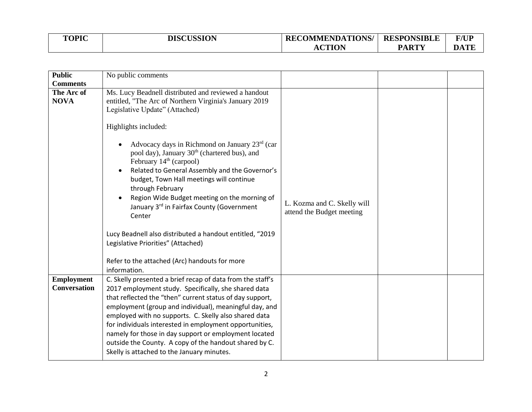| <b>TOPIC</b> | <b>DISCUSSION</b> | <b>RECOMMENDATIONS/</b> | <b>RESPONSIBLE</b> | <b>F/UP</b> |
|--------------|-------------------|-------------------------|--------------------|-------------|
|              |                   | <b>CTION</b><br>AC      | <b>PARTY</b>       | <b>DATE</b> |

| <b>Public</b>                            | No public comments                                                                                                                                                                                                                                                                                                                                                                                                                                                                                                                                                                                                                                                                                          |                                                          |  |
|------------------------------------------|-------------------------------------------------------------------------------------------------------------------------------------------------------------------------------------------------------------------------------------------------------------------------------------------------------------------------------------------------------------------------------------------------------------------------------------------------------------------------------------------------------------------------------------------------------------------------------------------------------------------------------------------------------------------------------------------------------------|----------------------------------------------------------|--|
| <b>Comments</b>                          |                                                                                                                                                                                                                                                                                                                                                                                                                                                                                                                                                                                                                                                                                                             |                                                          |  |
| The Arc of<br><b>NOVA</b>                | Ms. Lucy Beadnell distributed and reviewed a handout<br>entitled, "The Arc of Northern Virginia's January 2019<br>Legislative Update" (Attached)<br>Highlights included:<br>Advocacy days in Richmond on January $23rd$ (car<br>pool day), January 30 <sup>th</sup> (chartered bus), and<br>February 14 <sup>th</sup> (carpool)<br>Related to General Assembly and the Governor's<br>budget, Town Hall meetings will continue<br>through February<br>Region Wide Budget meeting on the morning of<br>January 3rd in Fairfax County (Government<br>Center<br>Lucy Beadnell also distributed a handout entitled, "2019<br>Legislative Priorities" (Attached)<br>Refer to the attached (Arc) handouts for more | L. Kozma and C. Skelly will<br>attend the Budget meeting |  |
|                                          | information.                                                                                                                                                                                                                                                                                                                                                                                                                                                                                                                                                                                                                                                                                                |                                                          |  |
| <b>Employment</b><br><b>Conversation</b> | C. Skelly presented a brief recap of data from the staff's<br>2017 employment study. Specifically, she shared data<br>that reflected the "then" current status of day support,<br>employment (group and individual), meaningful day, and<br>employed with no supports. C. Skelly also shared data<br>for individuals interested in employment opportunities,<br>namely for those in day support or employment located<br>outside the County. A copy of the handout shared by C.<br>Skelly is attached to the January minutes.                                                                                                                                                                               |                                                          |  |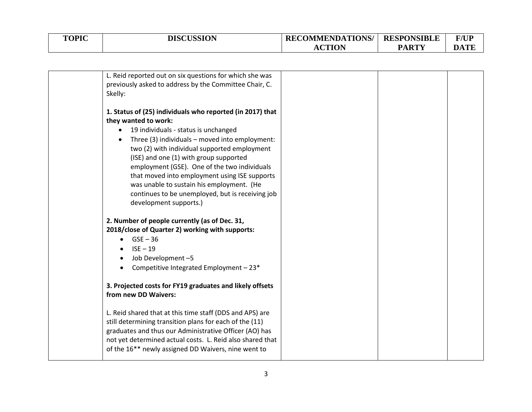| <b>TOPIC</b> | <b>DISCUSSION</b> | <b>RECOMMENDATIONS/</b> | <b>RESPONSIBLE</b> | <b>F/UP</b> |
|--------------|-------------------|-------------------------|--------------------|-------------|
|              |                   | <b>CTION</b><br>AU      | <b>PARTY</b>       | m<br>DА     |

| L. Reid reported out on six questions for which she was<br>previously asked to address by the Committee Chair, C.<br>Skelly:                                                                                                                                                                                                                                                                                                                                                                                   |  |  |
|----------------------------------------------------------------------------------------------------------------------------------------------------------------------------------------------------------------------------------------------------------------------------------------------------------------------------------------------------------------------------------------------------------------------------------------------------------------------------------------------------------------|--|--|
| 1. Status of (25) individuals who reported (in 2017) that<br>they wanted to work:<br>19 individuals - status is unchanged<br>$\bullet$<br>Three (3) individuals - moved into employment:<br>two (2) with individual supported employment<br>(ISE) and one (1) with group supported<br>employment (GSE). One of the two individuals<br>that moved into employment using ISE supports<br>was unable to sustain his employment. (He<br>continues to be unemployed, but is receiving job<br>development supports.) |  |  |
| 2. Number of people currently (as of Dec. 31,<br>2018/close of Quarter 2) working with supports:<br>$GSE - 36$<br>$ISE - 19$<br>Job Development-5<br>Competitive Integrated Employment - 23*<br>3. Projected costs for FY19 graduates and likely offsets<br>from new DD Waivers:                                                                                                                                                                                                                               |  |  |
| L. Reid shared that at this time staff (DDS and APS) are<br>still determining transition plans for each of the (11)<br>graduates and thus our Administrative Officer (AO) has<br>not yet determined actual costs. L. Reid also shared that<br>of the 16 <sup>**</sup> newly assigned DD Waivers, nine went to                                                                                                                                                                                                  |  |  |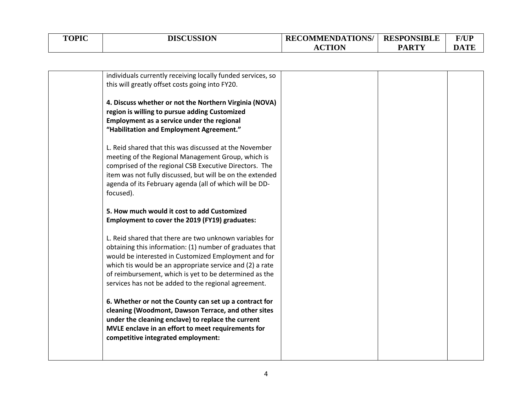| <b>TOPIC</b> | <b>DISCUSSION</b> | <b>RECOMMENDATIONS/</b> | <b>RESPONSIBLE</b> | <b>F/UP</b> |
|--------------|-------------------|-------------------------|--------------------|-------------|
|              |                   | <b>CTION</b><br>AС      | <b>PARTY</b>       | m<br>DА     |

| individuals currently receiving locally funded services, so |  |  |
|-------------------------------------------------------------|--|--|
| this will greatly offset costs going into FY20.             |  |  |
|                                                             |  |  |
| 4. Discuss whether or not the Northern Virginia (NOVA)      |  |  |
| region is willing to pursue adding Customized               |  |  |
| Employment as a service under the regional                  |  |  |
| "Habilitation and Employment Agreement."                    |  |  |
|                                                             |  |  |
| L. Reid shared that this was discussed at the November      |  |  |
| meeting of the Regional Management Group, which is          |  |  |
| comprised of the regional CSB Executive Directors. The      |  |  |
| item was not fully discussed, but will be on the extended   |  |  |
|                                                             |  |  |
| agenda of its February agenda (all of which will be DD-     |  |  |
| focused).                                                   |  |  |
| 5. How much would it cost to add Customized                 |  |  |
|                                                             |  |  |
| Employment to cover the 2019 (FY19) graduates:              |  |  |
|                                                             |  |  |
| L. Reid shared that there are two unknown variables for     |  |  |
| obtaining this information: (1) number of graduates that    |  |  |
| would be interested in Customized Employment and for        |  |  |
| which tis would be an appropriate service and (2) a rate    |  |  |
| of reimbursement, which is yet to be determined as the      |  |  |
| services has not be added to the regional agreement.        |  |  |
|                                                             |  |  |
| 6. Whether or not the County can set up a contract for      |  |  |
| cleaning (Woodmont, Dawson Terrace, and other sites         |  |  |
| under the cleaning enclave) to replace the current          |  |  |
| MVLE enclave in an effort to meet requirements for          |  |  |
| competitive integrated employment:                          |  |  |
|                                                             |  |  |
|                                                             |  |  |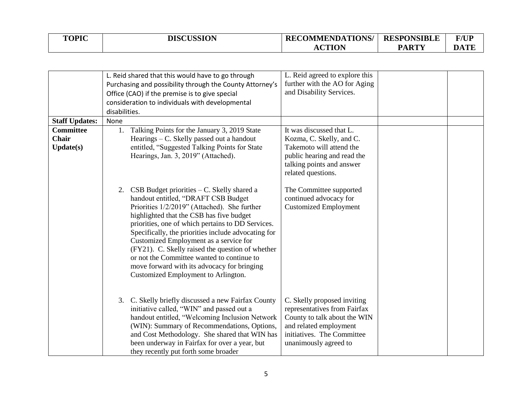| <b>TOPIC</b> | <b>DISCUSSION</b> | <b>RECOMMENDATIONS/</b> | <b>RESPONSIBLE</b> | <b>F/UP</b> |
|--------------|-------------------|-------------------------|--------------------|-------------|
|              |                   | <b>ACTION</b>           | <b>PARTY</b>       | DATE        |

|                                               | L. Reid agreed to explore this<br>L. Reid shared that this would have to go through<br>further with the AO for Aging<br>Purchasing and possibility through the County Attorney's<br>and Disability Services.<br>Office (CAO) if the premise is to give special<br>consideration to individuals with developmental<br>disabilities.                                                                                                                                                                                                                                                                                    |  |
|-----------------------------------------------|-----------------------------------------------------------------------------------------------------------------------------------------------------------------------------------------------------------------------------------------------------------------------------------------------------------------------------------------------------------------------------------------------------------------------------------------------------------------------------------------------------------------------------------------------------------------------------------------------------------------------|--|
| <b>Staff Updates:</b>                         | None                                                                                                                                                                                                                                                                                                                                                                                                                                                                                                                                                                                                                  |  |
| <b>Committee</b><br>Chair<br><b>Update(s)</b> | Talking Points for the January 3, 2019 State<br>It was discussed that L.<br>1.<br>Hearings $-$ C. Skelly passed out a handout<br>Kozma, C. Skelly, and C.<br>entitled, "Suggested Talking Points for State<br>Takemoto will attend the<br>Hearings, Jan. 3, 2019" (Attached).<br>public hearing and read the<br>talking points and answer<br>related questions.                                                                                                                                                                                                                                                       |  |
|                                               | 2. CSB Budget priorities $-C$ . Skelly shared a<br>The Committee supported<br>handout entitled, "DRAFT CSB Budget<br>continued advocacy for<br>Priorities 1/2/2019" (Attached). She further<br><b>Customized Employment</b><br>highlighted that the CSB has five budget<br>priorities, one of which pertains to DD Services.<br>Specifically, the priorities include advocating for<br>Customized Employment as a service for<br>(FY21). C. Skelly raised the question of whether<br>or not the Committee wanted to continue to<br>move forward with its advocacy for bringing<br>Customized Employment to Arlington. |  |
|                                               | C. Skelly briefly discussed a new Fairfax County<br>C. Skelly proposed inviting<br>3.<br>initiative called, "WIN" and passed out a<br>representatives from Fairfax<br>handout entitled, "Welcoming Inclusion Network<br>County to talk about the WIN<br>(WIN): Summary of Recommendations, Options,<br>and related employment<br>and Cost Methodology. She shared that WIN has<br>initiatives. The Committee<br>been underway in Fairfax for over a year, but<br>unanimously agreed to<br>they recently put forth some broader                                                                                        |  |